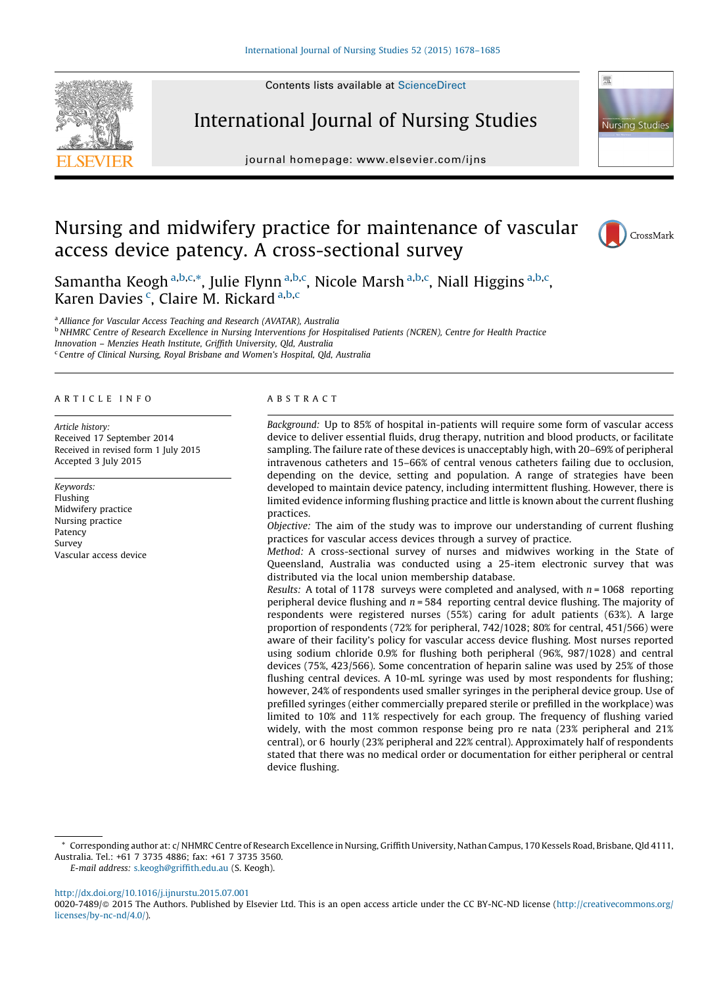Contents lists available at [ScienceDirect](http://www.sciencedirect.com/science/journal/00207489)



# International Journal of Nursing Studies

journal homepage: www.elsevier.com/ijns



# Nursing and midwifery practice for maintenance of vascular access device patency. A cross-sectional survey



Samantha Keogh <sup>a,b,c,\*</sup>, Julie Flynn <sup>a,b,c</sup>, Nicole Marsh <sup>a,b,c</sup>, Niall Higgins <sup>a,b,c</sup>, Karen Davies<sup>c</sup>, Claire M. Rickard a,b,c

<sup>a</sup> Alliance for Vascular Access Teaching and Research (AVATAR), Australia **b** NHMRC Centre of Research Excellence in Nursing Interventions for Hospitalised Patients (NCREN), Centre for Health Practice Innovation – Menzies Heath Institute, Griffith University, Qld, Australia <sup>c</sup> Centre of Clinical Nursing, Royal Brisbane and Women's Hospital, Qld, Australia

#### A R T I C L E I N F O

Article history: Received 17 September 2014 Received in revised form 1 July 2015 Accepted 3 July 2015

Keywords: Flushing Midwifery practice Nursing practice Patency Survey Vascular access device

#### A B S T R A C T

Background: Up to 85% of hospital in-patients will require some form of vascular access device to deliver essential fluids, drug therapy, nutrition and blood products, or facilitate sampling. The failure rate of these devices is unacceptably high, with 20–69% of peripheral intravenous catheters and 15–66% of central venous catheters failing due to occlusion, depending on the device, setting and population. A range of strategies have been developed to maintain device patency, including intermittent flushing. However, there is limited evidence informing flushing practice and little is known about the current flushing practices.

Objective: The aim of the study was to improve our understanding of current flushing practices for vascular access devices through a survey of practice.

Method: A cross-sectional survey of nurses and midwives working in the State of Queensland, Australia was conducted using a 25-item electronic survey that was distributed via the local union membership database.

Results: A total of 1178 surveys were completed and analysed, with  $n = 1068$  reporting peripheral device flushing and  $n = 584$  reporting central device flushing. The majority of respondents were registered nurses (55%) caring for adult patients (63%). A large proportion of respondents (72% for peripheral, 742/1028; 80% for central, 451/566) were aware of their facility's policy for vascular access device flushing. Most nurses reported using sodium chloride 0.9% for flushing both peripheral (96%, 987/1028) and central devices (75%, 423/566). Some concentration of heparin saline was used by 25% of those flushing central devices. A 10-mL syringe was used by most respondents for flushing; however, 24% of respondents used smaller syringes in the peripheral device group. Use of prefilled syringes (either commercially prepared sterile or prefilled in the workplace) was limited to 10% and 11% respectively for each group. The frequency of flushing varied widely, with the most common response being pro re nata (23% peripheral and 21% central), or 6 hourly (23% peripheral and 22% central). Approximately half of respondents stated that there was no medical order or documentation for either peripheral or central device flushing.

<http://dx.doi.org/10.1016/j.ijnurstu.2015.07.001>

<sup>\*</sup> Corresponding author at: c/ NHMRC Centre of Research Excellence in Nursing, Griffith University, Nathan Campus, 170 Kessels Road, Brisbane, Qld 4111, Australia. Tel.: +61 7 3735 4886; fax: +61 7 3735 3560.

E-mail address: [s.keogh@griffith.edu.au](mailto:s.keogh@griffith.edu.au) (S. Keogh).

<sup>0020-7489/© 2015</sup> The Authors. Published by Elsevier Ltd. This is an open access article under the CC BY-NC-ND license [\(http://creativecommons.org/](http://creativecommons.org/licenses/by-nc-nd/4.0/) [licenses/by-nc-nd/4.0/](http://creativecommons.org/licenses/by-nc-nd/4.0/)).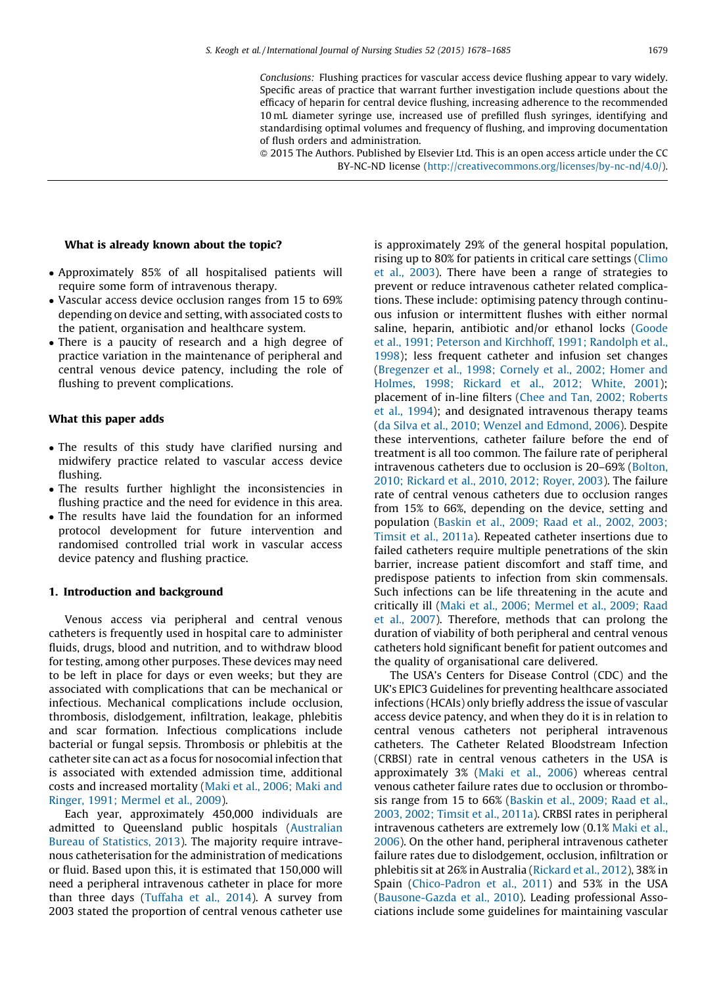Conclusions: Flushing practices for vascular access device flushing appear to vary widely. Specific areas of practice that warrant further investigation include questions about the efficacy of heparin for central device flushing, increasing adherence to the recommended 10 mL diameter syringe use, increased use of prefilled flush syringes, identifying and standardising optimal volumes and frequency of flushing, and improving documentation of flush orders and administration.

- 2015 The Authors. Published by Elsevier Ltd. This is an open access article under the CC BY-NC-ND license [\(http://creativecommons.org/licenses/by-nc-nd/4.0/\)](http://creativecommons.org/licenses/by-nc-nd/4.0/).

### What is already known about the topic?

- Approximately 85% of all hospitalised patients will require some form of intravenous therapy.
- Vascular access device occlusion ranges from 15 to 69% depending on device and setting, with associated costs to the patient, organisation and healthcare system.
- There is a paucity of research and a high degree of practice variation in the maintenance of peripheral and central venous device patency, including the role of flushing to prevent complications.

#### What this paper adds

- The results of this study have clarified nursing and midwifery practice related to vascular access device flushing.
- The results further highlight the inconsistencies in flushing practice and the need for evidence in this area.
- The results have laid the foundation for an informed protocol development for future intervention and randomised controlled trial work in vascular access device patency and flushing practice.

#### 1. Introduction and background

Venous access via peripheral and central venous catheters is frequently used in hospital care to administer fluids, drugs, blood and nutrition, and to withdraw blood for testing, among other purposes. These devices may need to be left in place for days or even weeks; but they are associated with complications that can be mechanical or infectious. Mechanical complications include occlusion, thrombosis, dislodgement, infiltration, leakage, phlebitis and scar formation. Infectious complications include bacterial or fungal sepsis. Thrombosis or phlebitis at the catheter site can act as a focus for nosocomial infection that is associated with extended admission time, additional costs and increased mortality (Maki et al., [2006;](#page-6-0) Maki and Ringer, 1991; [Mermel](#page-6-0) et al., 2009).

Each year, approximately 450,000 individuals are admitted to Queensland public hospitals ([Australian](#page-6-0) Bureau of [Statistics,](#page-6-0) 2013). The majority require intravenous catheterisation for the administration of medications or fluid. Based upon this, it is estimated that 150,000 will need a peripheral intravenous catheter in place for more than three days [\(Tuffaha](#page-7-0) et al., 2014). A survey from 2003 stated the proportion of central venous catheter use

is approximately 29% of the general hospital population, rising up to 80% for patients in critical care settings ([Climo](#page-6-0) et al., [2003\)](#page-6-0). There have been a range of strategies to prevent or reduce intravenous catheter related complications. These include: optimising patency through continuous infusion or intermittent flushes with either normal saline, heparin, antibiotic and/or ethanol locks ([Goode](#page-6-0) et al., 1991; Peterson and [Kirchhoff,](#page-6-0) 1991; Randolph et al., [1998](#page-6-0)); less frequent catheter and infusion set changes [\(Bregenzer](#page-6-0) et al., 1998; Cornely et al., 2002; Homer and [Holmes,](#page-6-0) 1998; Rickard et al., 2012; White, 2001); placement of in-line filters (Chee and Tan, 2002; [Roberts](#page-6-0) et al., [1994](#page-6-0)); and designated intravenous therapy teams (da Silva et al., 2010; Wenzel and [Edmond,](#page-6-0) 2006). Despite these interventions, catheter failure before the end of treatment is all too common. The failure rate of peripheral intravenous catheters due to occlusion is 20–69% [\(Bolton,](#page-6-0) 2010; [Rickard](#page-6-0) et al., 2010, 2012; Royer, 2003). The failure rate of central venous catheters due to occlusion ranges from 15% to 66%, depending on the device, setting and population [\(Baskin](#page-6-0) et al., 2009; Raad et al., 2002, 2003; [Timsit](#page-6-0) et al., 2011a). Repeated catheter insertions due to failed catheters require multiple penetrations of the skin barrier, increase patient discomfort and staff time, and predispose patients to infection from skin commensals. Such infections can be life threatening in the acute and critically ill (Maki et al., 2006; [Mermel](#page-6-0) et al., 2009; Raad et al., [2007](#page-6-0)). Therefore, methods that can prolong the duration of viability of both peripheral and central venous catheters hold significant benefit for patient outcomes and the quality of organisational care delivered.

The USA's Centers for Disease Control (CDC) and the UK's EPIC3 Guidelines for preventing healthcare associated infections (HCAIs) only briefly address the issue of vascular access device patency, and when they do it is in relation to central venous catheters not peripheral intravenous catheters. The Catheter Related Bloodstream Infection (CRBSI) rate in central venous catheters in the USA is approximately 3% (Maki et al., [2006\)](#page-6-0) whereas central venous catheter failure rates due to occlusion or thrombosis range from 15 to 66% [\(Baskin](#page-6-0) et al., 2009; Raad et al., 2003, 2002; [Timsit](#page-6-0) et al., 2011a). CRBSI rates in peripheral intravenous catheters are extremely low (0.1% [Maki](#page-6-0) et al., [2006](#page-6-0)). On the other hand, peripheral intravenous catheter failure rates due to dislodgement, occlusion, infiltration or phlebitis sit at 26% in Australia ([Rickard](#page-7-0) et al., 2012), 38% in Spain ([Chico-Padron](#page-6-0) et al., 2011) and 53% in the USA [\(Bausone-Gazda](#page-6-0) et al., 2010). Leading professional Associations include some guidelines for maintaining vascular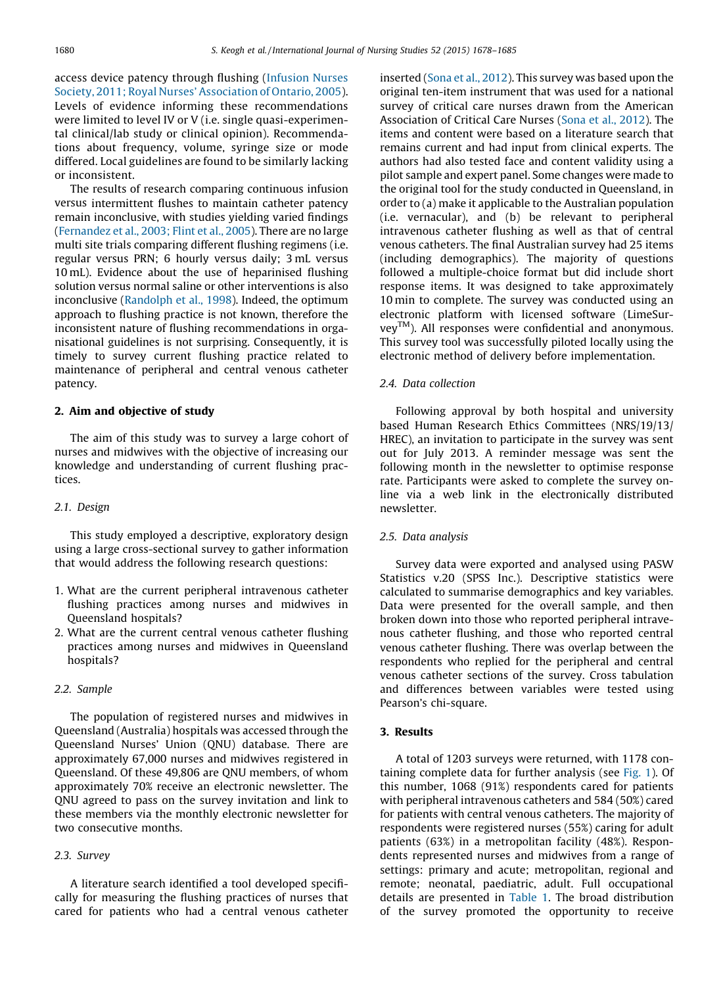access device patency through flushing ([Infusion](#page-6-0) Nurses Society, 2011; Royal Nurses' [Association](#page-6-0) of Ontario, 2005). Levels of evidence informing these recommendations were limited to level IV or V (i.e. single quasi-experimental clinical/lab study or clinical opinion). Recommendations about frequency, volume, syringe size or mode differed. Local guidelines are found to be similarly lacking or inconsistent.

The results of research comparing continuous infusion versus intermittent flushes to maintain catheter patency remain inconclusive, with studies yielding varied findings [\(Fernandez](#page-6-0) et al., 2003; Flint et al., 2005). There are no large multi site trials comparing different flushing regimens (i.e. regular versus PRN; 6 hourly versus daily; 3 mL versus 10 mL). Evidence about the use of heparinised flushing solution versus normal saline or other interventions is also inconclusive ([Randolph](#page-7-0) et al., 1998). Indeed, the optimum approach to flushing practice is not known, therefore the inconsistent nature of flushing recommendations in organisational guidelines is not surprising. Consequently, it is timely to survey current flushing practice related to maintenance of peripheral and central venous catheter patency.

## 2. Aim and objective of study

The aim of this study was to survey a large cohort of nurses and midwives with the objective of increasing our knowledge and understanding of current flushing practices.

## 2.1. Design

This study employed a descriptive, exploratory design using a large cross-sectional survey to gather information that would address the following research questions:

- 1. What are the current peripheral intravenous catheter flushing practices among nurses and midwives in Queensland hospitals?
- 2. What are the current central venous catheter flushing practices among nurses and midwives in Queensland hospitals?

## 2.2. Sample

The population of registered nurses and midwives in Queensland (Australia) hospitals was accessed through the Queensland Nurses' Union (QNU) database. There are approximately 67,000 nurses and midwives registered in Queensland. Of these 49,806 are QNU members, of whom approximately 70% receive an electronic newsletter. The QNU agreed to pass on the survey invitation and link to these members via the monthly electronic newsletter for two consecutive months.

# 2.3. Survey

A literature search identified a tool developed specifically for measuring the flushing practices of nurses that cared for patients who had a central venous catheter

inserted (Sona et al., [2012](#page-7-0)). This survey was based upon the original ten-item instrument that was used for a national survey of critical care nurses drawn from the American Association of Critical Care Nurses (Sona et al., [2012\)](#page-7-0). The items and content were based on a literature search that remains current and had input from clinical experts. The authors had also tested face and content validity using a pilot sample and expert panel. Some changes were made to the original tool for the study conducted in Queensland, in order to (a) make it applicable to the Australian population (i.e. vernacular), and (b) be relevant to peripheral intravenous catheter flushing as well as that of central venous catheters. The final Australian survey had 25 items (including demographics). The majority of questions followed a multiple-choice format but did include short response items. It was designed to take approximately 10 min to complete. The survey was conducted using an electronic platform with licensed software (LimeSurveyTM). All responses were confidential and anonymous. This survey tool was successfully piloted locally using the electronic method of delivery before implementation.

#### 2.4. Data collection

Following approval by both hospital and university based Human Research Ethics Committees (NRS/19/13/ HREC), an invitation to participate in the survey was sent out for July 2013. A reminder message was sent the following month in the newsletter to optimise response rate. Participants were asked to complete the survey online via a web link in the electronically distributed newsletter.

## 2.5. Data analysis

Survey data were exported and analysed using PASW Statistics v.20 (SPSS Inc.). Descriptive statistics were calculated to summarise demographics and key variables. Data were presented for the overall sample, and then broken down into those who reported peripheral intravenous catheter flushing, and those who reported central venous catheter flushing. There was overlap between the respondents who replied for the peripheral and central venous catheter sections of the survey. Cross tabulation and differences between variables were tested using Pearson's chi-square.

#### 3. Results

A total of 1203 surveys were returned, with 1178 containing complete data for further analysis (see [Fig.](#page-3-0) 1). Of this number, 1068 (91%) respondents cared for patients with peripheral intravenous catheters and 584 (50%) cared for patients with central venous catheters. The majority of respondents were registered nurses (55%) caring for adult patients (63%) in a metropolitan facility (48%). Respondents represented nurses and midwives from a range of settings: primary and acute; metropolitan, regional and remote; neonatal, paediatric, adult. Full occupational details are presented in [Table](#page-4-0) 1. The broad distribution of the survey promoted the opportunity to receive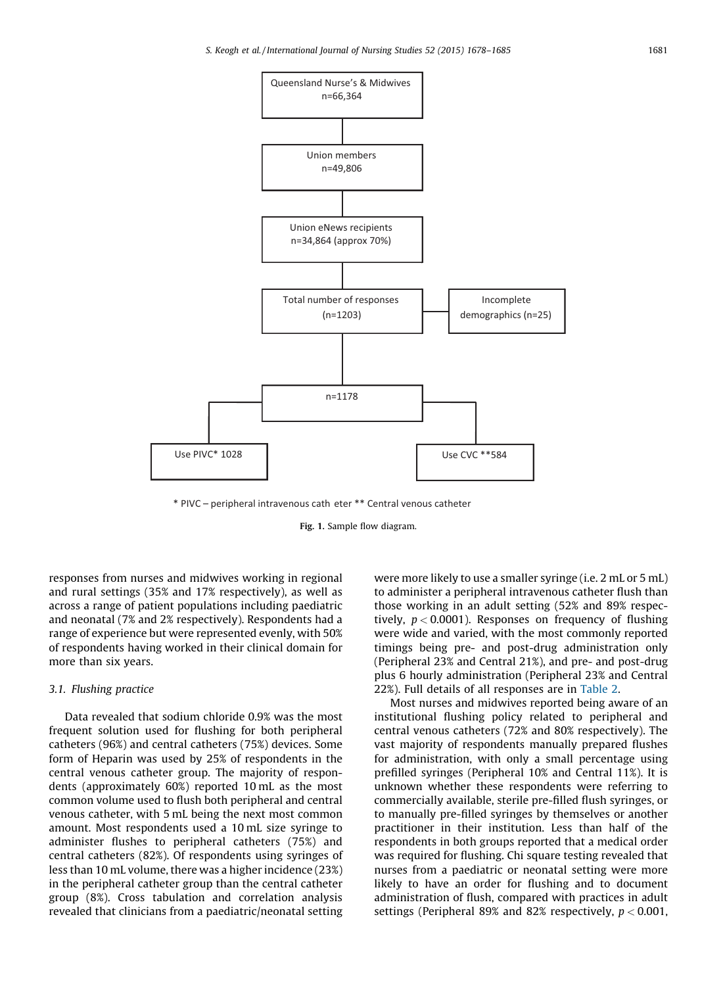<span id="page-3-0"></span>

\* PIVC – peripheral intravenous cath eter \*\* Central venous catheter

Fig. 1. Sample flow diagram.

responses from nurses and midwives working in regional and rural settings (35% and 17% respectively), as well as across a range of patient populations including paediatric and neonatal (7% and 2% respectively). Respondents had a range of experience but were represented evenly, with 50% of respondents having worked in their clinical domain for more than six years.

## 3.1. Flushing practice

Data revealed that sodium chloride 0.9% was the most frequent solution used for flushing for both peripheral catheters (96%) and central catheters (75%) devices. Some form of Heparin was used by 25% of respondents in the central venous catheter group. The majority of respondents (approximately 60%) reported 10 mL as the most common volume used to flush both peripheral and central venous catheter, with 5 mL being the next most common amount. Most respondents used a 10 mL size syringe to administer flushes to peripheral catheters (75%) and central catheters (82%). Of respondents using syringes of less than 10 mL volume, there was a higher incidence (23%) in the peripheral catheter group than the central catheter group (8%). Cross tabulation and correlation analysis revealed that clinicians from a paediatric/neonatal setting

were more likely to use a smaller syringe (i.e. 2 mL or 5 mL) to administer a peripheral intravenous catheter flush than those working in an adult setting (52% and 89% respectively,  $p < 0.0001$ ). Responses on frequency of flushing were wide and varied, with the most commonly reported timings being pre- and post-drug administration only (Peripheral 23% and Central 21%), and pre- and post-drug plus 6 hourly administration (Peripheral 23% and Central 22%). Full details of all responses are in [Table](#page-4-0) 2.

Most nurses and midwives reported being aware of an institutional flushing policy related to peripheral and central venous catheters (72% and 80% respectively). The vast majority of respondents manually prepared flushes for administration, with only a small percentage using prefilled syringes (Peripheral 10% and Central 11%). It is unknown whether these respondents were referring to commercially available, sterile pre-filled flush syringes, or to manually pre-filled syringes by themselves or another practitioner in their institution. Less than half of the respondents in both groups reported that a medical order was required for flushing. Chi square testing revealed that nurses from a paediatric or neonatal setting were more likely to have an order for flushing and to document administration of flush, compared with practices in adult settings (Peripheral 89% and 82% respectively,  $p < 0.001$ ,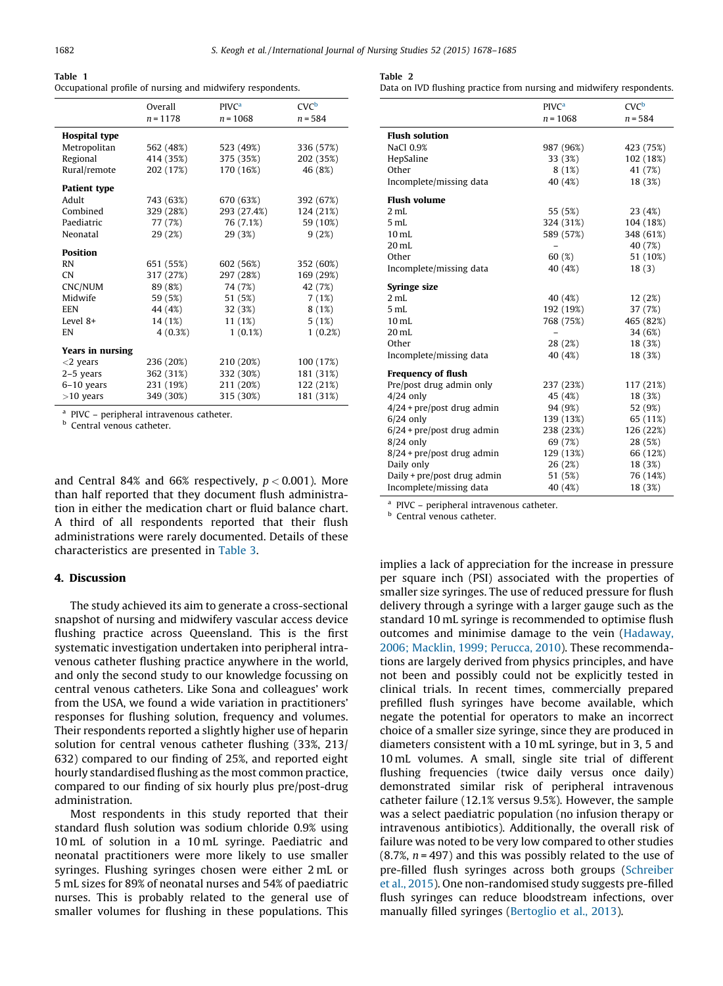<span id="page-4-0"></span>

| Table 1                                                    |  |  |  |
|------------------------------------------------------------|--|--|--|
| Occupational profile of nursing and midwifery respondents. |  |  |  |

|                         | Overall    | PIVC <sup>a</sup> | $CVC^b$   |
|-------------------------|------------|-------------------|-----------|
|                         | $n = 1178$ | $n = 1068$        | $n = 584$ |
| <b>Hospital type</b>    |            |                   |           |
| Metropolitan            | 562 (48%)  | 523 (49%)         | 336 (57%) |
| Regional                | 414 (35%)  | 375 (35%)         | 202 (35%) |
| Rural/remote            | 202 (17%)  | 170 (16%)         | 46 (8%)   |
| <b>Patient type</b>     |            |                   |           |
| Adult                   | 743 (63%)  | 670 (63%)         | 392 (67%) |
| Combined                | 329 (28%)  | 293 (27.4%)       | 124 (21%) |
| Paediatric              | 77 (7%)    | 76 (7.1%)         | 59 (10%)  |
| Neonatal                | 29 (2%)    | 29 (3%)           | 9(2%)     |
| <b>Position</b>         |            |                   |           |
| <b>RN</b>               | 651 (55%)  | 602 (56%)         | 352 (60%) |
| <b>CN</b>               | 317 (27%)  | 297 (28%)         | 169 (29%) |
| CNC/NUM                 | 89 (8%)    | 74 (7%)           | 42 (7%)   |
| Midwife                 | 59 (5%)    | 51 (5%)           | 7(1%)     |
| <b>EEN</b>              | 44 (4%)    | 32 (3%)           | 8(1%)     |
| Level 8+                | 14 (1%)    | 11 (1%)           | 5(1%)     |
| EN                      | $4(0.3\%)$ | $1(0.1\%)$        | 1(0.2%)   |
| <b>Years in nursing</b> |            |                   |           |
| $<$ 2 years             | 236 (20%)  | 210 (20%)         | 100 (17%) |
| $2-5$ years             | 362 (31%)  | 332 (30%)         | 181 (31%) |
| $6-10$ years            | 231 (19%)  | 211 (20%)         | 122 (21%) |
| $>10$ years             | 349 (30%)  | 315 (30%)         | 181 (31%) |

<sup>a</sup> PIVC – peripheral intravenous catheter.

<sup>b</sup> Central venous catheter.

and Central 84% and 66% respectively,  $p < 0.001$ ). More than half reported that they document flush administration in either the medication chart or fluid balance chart. A third of all respondents reported that their flush administrations were rarely documented. Details of these characteristics are presented in [Table](#page-5-0) 3.

## 4. Discussion

The study achieved its aim to generate a cross-sectional snapshot of nursing and midwifery vascular access device flushing practice across Queensland. This is the first systematic investigation undertaken into peripheral intravenous catheter flushing practice anywhere in the world, and only the second study to our knowledge focussing on central venous catheters. Like Sona and colleagues' work from the USA, we found a wide variation in practitioners' responses for flushing solution, frequency and volumes. Their respondents reported a slightly higher use of heparin solution for central venous catheter flushing (33%, 213/ 632) compared to our finding of 25%, and reported eight hourly standardised flushing as the most common practice, compared to our finding of six hourly plus pre/post-drug administration.

Most respondents in this study reported that their standard flush solution was sodium chloride 0.9% using 10 mL of solution in a 10 mL syringe. Paediatric and neonatal practitioners were more likely to use smaller syringes. Flushing syringes chosen were either 2 mL or 5 mL sizes for 89% of neonatal nurses and 54% of paediatric nurses. This is probably related to the general use of smaller volumes for flushing in these populations. This

| Table |  |
|-------|--|
|       |  |

Data on IVD flushing practice from nursing and midwifery respondents.

|                              | <b>PIVC<sup>a</sup></b> | $CVC^b$   |
|------------------------------|-------------------------|-----------|
|                              | $n = 1068$              | $n = 584$ |
| <b>Flush solution</b>        |                         |           |
| NaCl 0.9%                    | 987 (96%)               | 423 (75%) |
| HepSaline                    | 33 (3%)                 | 102 (18%) |
| Other                        | 8(1%)                   | 41 (7%)   |
| Incomplete/missing data      | 40 (4%)                 | 18 (3%)   |
| <b>Flush volume</b>          |                         |           |
| 2 mL                         | 55 (5%)                 | 23 (4%)   |
| 5 mL                         | 324 (31%)               | 104 (18%) |
| 10 <sub>mL</sub>             | 589 (57%)               | 348 (61%) |
| $20$ mL                      | -                       | 40 (7%)   |
| Other                        | 60(%)                   | 51 (10%)  |
| Incomplete/missing data      | 40 (4%)                 | 18(3)     |
| Syringe size                 |                         |           |
| 2 <sub>mL</sub>              | 40 (4%)                 | 12(2%)    |
| 5 mL                         | 192 (19%)               | 37 (7%)   |
| $10$ mL                      | 768 (75%)               | 465 (82%) |
| $20$ mL                      |                         | 34 (6%)   |
| Other                        | 28 (2%)                 | 18 (3%)   |
| Incomplete/missing data      | 40 (4%)                 | 18 (3%)   |
| <b>Frequency of flush</b>    |                         |           |
| Pre/post drug admin only     | 237 (23%)               | 117 (21%) |
| $4/24$ only                  | 45 (4%)                 | 18 (3%)   |
| $4/24$ + pre/post drug admin | 94 (9%)                 | 52 (9%)   |
| $6/24$ only                  | 139 (13%)               | 65 (11%)  |
| $6/24$ + pre/post drug admin | 238 (23%)               | 126 (22%) |
| $8/24$ only                  | 69 (7%)                 | 28 (5%)   |
| $8/24$ + pre/post drug admin | 129 (13%)               | 66 (12%)  |
| Daily only                   | 26(2%)                  | 18 (3%)   |
| Daily + pre/post drug admin  | 51 (5%)                 | 76 (14%)  |
| Incomplete/missing data      | 40 (4%)                 | 18 (3%)   |

<sup>a</sup> PIVC – peripheral intravenous catheter.

**b** Central venous catheter.

implies a lack of appreciation for the increase in pressure per square inch (PSI) associated with the properties of smaller size syringes. The use of reduced pressure for flush delivery through a syringe with a larger gauge such as the standard 10 mL syringe is recommended to optimise flush outcomes and minimise damage to the vein ([Hadaway,](#page-6-0) 2006; [Macklin,](#page-6-0) 1999; Perucca, 2010). These recommendations are largely derived from physics principles, and have not been and possibly could not be explicitly tested in clinical trials. In recent times, commercially prepared prefilled flush syringes have become available, which negate the potential for operators to make an incorrect choice of a smaller size syringe, since they are produced in diameters consistent with a 10 mL syringe, but in 3, 5 and 10 mL volumes. A small, single site trial of different flushing frequencies (twice daily versus once daily) demonstrated similar risk of peripheral intravenous catheter failure (12.1% versus 9.5%). However, the sample was a select paediatric population (no infusion therapy or intravenous antibiotics). Additionally, the overall risk of failure was noted to be very low compared to other studies  $(8.7\%, n = 497)$  and this was possibly related to the use of pre-filled flush syringes across both groups [\(Schreiber](#page-7-0) et al., [2015\)](#page-7-0). One non-randomised study suggests pre-filled flush syringes can reduce bloodstream infections, over manually filled syringes [\(Bertoglio](#page-6-0) et al., 2013).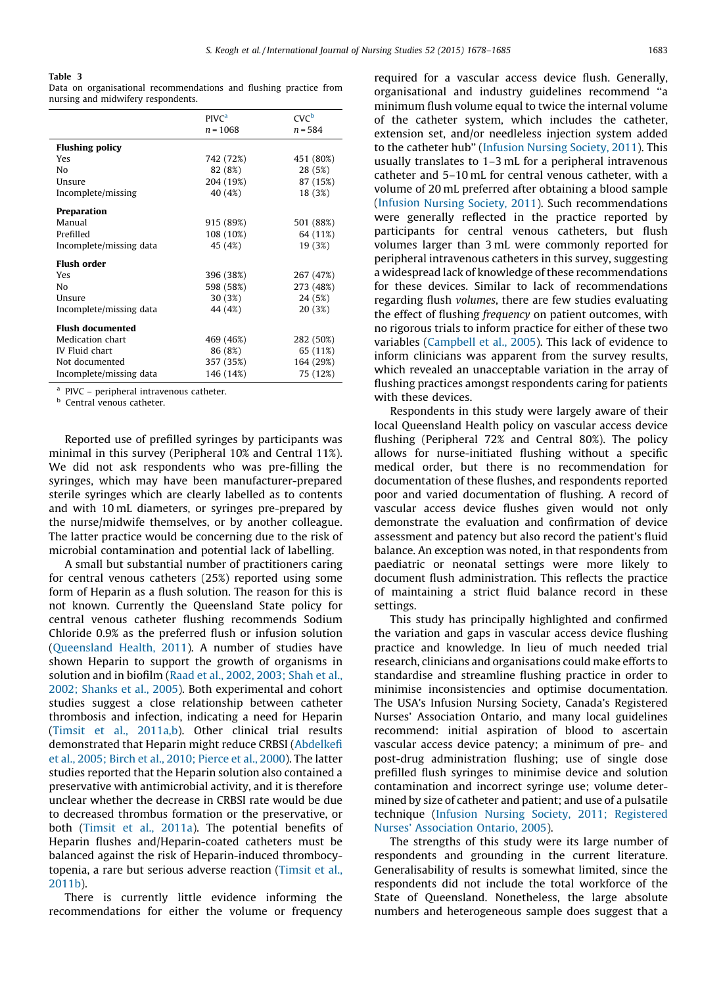#### <span id="page-5-0"></span>Table 3

Data on organisational recommendations and flushing practice from nursing and midwifery respondents.

|                         | PIVC <sup>a</sup><br>$n = 1068$ | CVC <sup>b</sup><br>$n = 584$ |
|-------------------------|---------------------------------|-------------------------------|
| <b>Flushing policy</b>  |                                 |                               |
| Yes                     | 742 (72%)                       | 451 (80%)                     |
| Nο                      | 82 (8%)                         | 28 (5%)                       |
| Unsure                  | 204 (19%)                       | 87 (15%)                      |
| Incomplete/missing      | 40 (4%)                         | 18 (3%)                       |
| Preparation             |                                 |                               |
| Manual                  | 915 (89%)                       | 501 (88%)                     |
| Prefilled               | 108 (10%)                       | 64 (11%)                      |
| Incomplete/missing data | 45 (4%)                         | 19 (3%)                       |
| Flush order             |                                 |                               |
| Yes                     | 396 (38%)                       | 267 (47%)                     |
| Nο                      | 598 (58%)                       | 273 (48%)                     |
| Unsure                  | 30 (3%)                         | 24 (5%)                       |
| Incomplete/missing data | 44 (4%)                         | 20 (3%)                       |
| <b>Flush documented</b> |                                 |                               |
| Medication chart        | 469 (46%)                       | 282 (50%)                     |
| IV Fluid chart          | 86 (8%)                         | 65 (11%)                      |
| Not documented          | 357 (35%)                       | 164 (29%)                     |
| Incomplete/missing data | 146 (14%)                       | 75 (12%)                      |

<sup>a</sup> PIVC – peripheral intravenous catheter.

**b** Central venous catheter.

Reported use of prefilled syringes by participants was minimal in this survey (Peripheral 10% and Central 11%). We did not ask respondents who was pre-filling the syringes, which may have been manufacturer-prepared sterile syringes which are clearly labelled as to contents and with 10 mL diameters, or syringes pre-prepared by the nurse/midwife themselves, or by another colleague. The latter practice would be concerning due to the risk of microbial contamination and potential lack of labelling.

A small but substantial number of practitioners caring for central venous catheters (25%) reported using some form of Heparin as a flush solution. The reason for this is not known. Currently the Queensland State policy for central venous catheter flushing recommends Sodium Chloride 0.9% as the preferred flush or infusion solution ([Queensland](#page-7-0) Health, 2011). A number of studies have shown Heparin to support the growth of organisms in solution and in biofilm (Raad et al., 2002, [2003;](#page-7-0) Shah et al., 2002; [Shanks](#page-7-0) et al., 2005). Both experimental and cohort studies suggest a close relationship between catheter thrombosis and infection, indicating a need for Heparin (Timsit et al., [2011a,b\)](#page-7-0). Other clinical trial results demonstrated that Heparin might reduce CRBSI ([Abdelkefi](#page-6-0) et al., 2005; Birch et al., 2010; [Pierce](#page-6-0) et al., 2000). The latter studies reported that the Heparin solution also contained a preservative with antimicrobial activity, and it is therefore unclear whether the decrease in CRBSI rate would be due to decreased thrombus formation or the preservative, or both ([Timsit](#page-7-0) et al., 2011a). The potential benefits of Heparin flushes and/Heparin-coated catheters must be balanced against the risk of Heparin-induced thrombocytopenia, a rare but serious adverse reaction [\(Timsit](#page-7-0) et al., [2011b\)](#page-7-0).

There is currently little evidence informing the recommendations for either the volume or frequency

required for a vascular access device flush. Generally, organisational and industry guidelines recommend ''a minimum flush volume equal to twice the internal volume of the catheter system, which includes the catheter, extension set, and/or needleless injection system added to the catheter hub'' ([Infusion](#page-6-0) Nursing Society, 2011). This usually translates to 1–3 mL for a peripheral intravenous catheter and 5–10 mL for central venous catheter, with a volume of 20 mL preferred after obtaining a blood sample [\(Infusion](#page-6-0) Nursing Society, 2011). Such recommendations were generally reflected in the practice reported by participants for central venous catheters, but flush volumes larger than 3 mL were commonly reported for peripheral intravenous catheters in this survey, suggesting a widespread lack of knowledge of these recommendations for these devices. Similar to lack of recommendations regarding flush volumes, there are few studies evaluating the effect of flushing frequency on patient outcomes, with no rigorous trials to inform practice for either of these two variables [\(Campbell](#page-6-0) et al., 2005). This lack of evidence to inform clinicians was apparent from the survey results, which revealed an unacceptable variation in the array of flushing practices amongst respondents caring for patients with these devices.

Respondents in this study were largely aware of their local Queensland Health policy on vascular access device flushing (Peripheral 72% and Central 80%). The policy allows for nurse-initiated flushing without a specific medical order, but there is no recommendation for documentation of these flushes, and respondents reported poor and varied documentation of flushing. A record of vascular access device flushes given would not only demonstrate the evaluation and confirmation of device assessment and patency but also record the patient's fluid balance. An exception was noted, in that respondents from paediatric or neonatal settings were more likely to document flush administration. This reflects the practice of maintaining a strict fluid balance record in these settings.

This study has principally highlighted and confirmed the variation and gaps in vascular access device flushing practice and knowledge. In lieu of much needed trial research, clinicians and organisations could make efforts to standardise and streamline flushing practice in order to minimise inconsistencies and optimise documentation. The USA's Infusion Nursing Society, Canada's Registered Nurses' Association Ontario, and many local guidelines recommend: initial aspiration of blood to ascertain vascular access device patency; a minimum of pre- and post-drug administration flushing; use of single dose prefilled flush syringes to minimise device and solution contamination and incorrect syringe use; volume determined by size of catheter and patient; and use of a pulsatile technique (Infusion Nursing Society, 2011; [Registered](#page-6-0) Nurses' [Association](#page-6-0) Ontario, 2005).

The strengths of this study were its large number of respondents and grounding in the current literature. Generalisability of results is somewhat limited, since the respondents did not include the total workforce of the State of Queensland. Nonetheless, the large absolute numbers and heterogeneous sample does suggest that a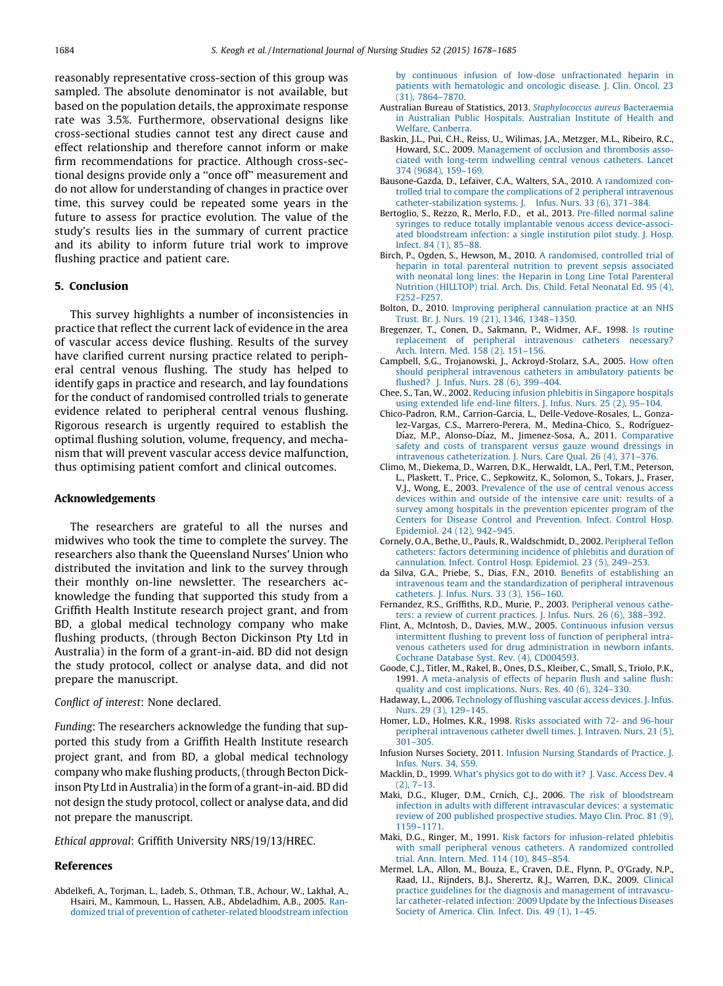<span id="page-6-0"></span>reasonably representative cross-section of this group was sampled. The absolute denominator is not available, but based on the population details, the approximate response rate was 3.5%. Furthermore, observational designs like cross-sectional studies cannot test any direct cause and effect relationship and therefore cannot inform or make firm recommendations for practice. Although cross-sectional designs provide only a ''once off'' measurement and do not allow for understanding of changes in practice over time, this survey could be repeated some years in the future to assess for practice evolution. The value of the study's results lies in the summary of current practice and its ability to inform future trial work to improve flushing practice and patient care.

## 5. Conclusion

This survey highlights a number of inconsistencies in practice that reflect the current lack of evidence in the area of vascular access device flushing. Results of the survey have clarified current nursing practice related to peripheral central venous flushing. The study has helped to identify gaps in practice and research, and lay foundations for the conduct of randomised controlled trials to generate evidence related to peripheral central venous flushing. Rigorous research is urgently required to establish the optimal flushing solution, volume, frequency, and mechanism that will prevent vascular access device malfunction, thus optimising patient comfort and clinical outcomes.

# Acknowledgements

The researchers are grateful to all the nurses and midwives who took the time to complete the survey. The researchers also thank the Queensland Nurses' Union who distributed the invitation and link to the survey through their monthly on-line newsletter. The researchers acknowledge the funding that supported this study from a Griffith Health Institute research project grant, and from BD, a global medical technology company who make flushing products, (through Becton Dickinson Pty Ltd in Australia) in the form of a grant-in-aid. BD did not design the study protocol, collect or analyse data, and did not prepare the manuscript.

#### Conflict of interest: None declared.

Funding: The researchers acknowledge the funding that supported this study from a Griffith Health Institute research project grant, and from BD, a global medical technology company who make flushing products, (through Becton Dickinson Pty Ltd in Australia) in the form of a grant-in-aid. BD did not design the study protocol, collect or analyse data, and did not prepare the manuscript.

Ethical approval: Griffith University NRS/19/13/HREC.

## References

by continuous infusion of low-dose [unfractionated](http://refhub.elsevier.com/S0020-7489(15)00222-9/sbref0005) heparin in patients with [hematologic](http://refhub.elsevier.com/S0020-7489(15)00222-9/sbref0005) and oncologic disease. J. Clin. Oncol. 23 (31), [7864–7870](http://refhub.elsevier.com/S0020-7489(15)00222-9/sbref0005).

- Australian Bureau of Statistics, 2013. [Staphylococcus](http://refhub.elsevier.com/S0020-7489(15)00222-9/sbref0010) aureus Bacteraemia in [Australian](http://refhub.elsevier.com/S0020-7489(15)00222-9/sbref0010) Public Hospitals. Australian Institute of Health and Welfare, [Canberra.](http://refhub.elsevier.com/S0020-7489(15)00222-9/sbref0010)
- Baskin, J.L., Pui, C.H., Reiss, U., Wilimas, J.A., Metzger, M.L., Ribeiro, R.C., Howard, S.C., 2009. [Management](http://refhub.elsevier.com/S0020-7489(15)00222-9/sbref0015) of occlusion and thrombosis associated with long-term [indwelling](http://refhub.elsevier.com/S0020-7489(15)00222-9/sbref0015) central venous catheters. Lancet 374 (9684), [159–169](http://refhub.elsevier.com/S0020-7489(15)00222-9/sbref0015).
- Bausone-Gazda, D., Lefaiver, C.A., Walters, S.A., 2010. A [randomized](http://refhub.elsevier.com/S0020-7489(15)00222-9/sbref0020) controlled trial to compare the [complications](http://refhub.elsevier.com/S0020-7489(15)00222-9/sbref0020) of 2 peripheral intravenous [catheter-stabilization](http://refhub.elsevier.com/S0020-7489(15)00222-9/sbref0020) systems. J. Infus. Nurs. 33 (6), 371–384.
- Bertoglio, S., Rezzo, R., Merlo, F.D., et al., 2013. [Pre-filled](http://refhub.elsevier.com/S0020-7489(15)00222-9/sbref0025) normal saline syringes to reduce totally implantable venous access [device-associ](http://refhub.elsevier.com/S0020-7489(15)00222-9/sbref0025)ated [bloodstream](http://refhub.elsevier.com/S0020-7489(15)00222-9/sbref0025) infection: a single institution pilot study. J. Hosp. Infect. 84 (1), [85–88](http://refhub.elsevier.com/S0020-7489(15)00222-9/sbref0025).
- Birch, P., Ogden, S., Hewson, M., 2010. A [randomised,](http://refhub.elsevier.com/S0020-7489(15)00222-9/sbref0030) controlled trial of heparin in total [parenteral](http://refhub.elsevier.com/S0020-7489(15)00222-9/sbref0030) nutrition to prevent sepsis associated with neonatal long lines: the Heparin in Long Line Total [Parenteral](http://refhub.elsevier.com/S0020-7489(15)00222-9/sbref0030) Nutrition [\(HILLTOP\)](http://refhub.elsevier.com/S0020-7489(15)00222-9/sbref0030) trial. Arch. Dis. Child. Fetal Neonatal Ed. 95 (4), [F252–F257](http://refhub.elsevier.com/S0020-7489(15)00222-9/sbref0030).
- Bolton, D., 2010. Improving peripheral [cannulation](http://refhub.elsevier.com/S0020-7489(15)00222-9/sbref0035) practice at an NHS Trust. Br. J. Nurs. 19 (21), 1346, [1348–1350.](http://refhub.elsevier.com/S0020-7489(15)00222-9/sbref0035)
- Bregenzer, T., Conen, D., Sakmann, P., Widmer, A.F., 1998. Is [routine](http://refhub.elsevier.com/S0020-7489(15)00222-9/sbref0040) [replacement](http://refhub.elsevier.com/S0020-7489(15)00222-9/sbref0040) of peripheral intravenous catheters necessary? Arch. Intern. Med. 158 (2), [151–156](http://refhub.elsevier.com/S0020-7489(15)00222-9/sbref0040).
- Campbell, S.G., Trojanowski, J., Ackroyd-Stolarz, S.A., 2005. How [often](http://refhub.elsevier.com/S0020-7489(15)00222-9/sbref0045) should peripheral [intravenous](http://refhub.elsevier.com/S0020-7489(15)00222-9/sbref0045) catheters in ambulatory patients be flushed? J. Infus. Nurs. 28 (6), [399–404](http://refhub.elsevier.com/S0020-7489(15)00222-9/sbref0045).
- Chee, S., Tan, W., 2002. Reducing infusion phlebitis in [Singapore](http://refhub.elsevier.com/S0020-7489(15)00222-9/sbref0050) hospitals using [extended](http://refhub.elsevier.com/S0020-7489(15)00222-9/sbref0050) life end-line filters. J. Infus. Nurs. 25 (2), 95–104.
- Chico-Padron, R.M., Carrion-Garcia, L., Delle-Vedove-Rosales, L., Gonzalez-Vargas, C.S., Marrero-Perera, M., Medina-Chico, S., Rodríguez-Díaz, M.P., Alonso-Díaz, M., Jimenez-Sosa, A., 2011. [Comparative](http://refhub.elsevier.com/S0020-7489(15)00222-9/sbref0055) safety and costs of [transparent](http://refhub.elsevier.com/S0020-7489(15)00222-9/sbref0055) versus gauze wound dressings in intravenous [catheterization.](http://refhub.elsevier.com/S0020-7489(15)00222-9/sbref0055) J. Nurs. Care Qual. 26 (4), 371–376.
- Climo, M., Diekema, D., Warren, D.K., Herwaldt, L.A., Perl, T.M., Peterson, L., Plaskett, T., Price, C., Sepkowitz, K., Solomon, S., Tokars, J., Fraser, V.J., Wong, E., 2003. [Prevalence](http://refhub.elsevier.com/S0020-7489(15)00222-9/sbref0060) of the use of central venous access devices within and outside of the [intensive](http://refhub.elsevier.com/S0020-7489(15)00222-9/sbref0060) care unit: results of a survey among hospitals in the [prevention](http://refhub.elsevier.com/S0020-7489(15)00222-9/sbref0060) epicenter program of the Centers for Disease Control and [Prevention.](http://refhub.elsevier.com/S0020-7489(15)00222-9/sbref0060) Infect. Control Hosp. [Epidemiol.](http://refhub.elsevier.com/S0020-7489(15)00222-9/sbref0060) 24 (12), 942–945.
- Cornely, O.A., Bethe, U., Pauls, R., Waldschmidt, D., 2002. [Peripheral](http://refhub.elsevier.com/S0020-7489(15)00222-9/sbref0065) Teflon catheters: factors [determining](http://refhub.elsevier.com/S0020-7489(15)00222-9/sbref0065) incidence of phlebitis and duration of [cannulation.](http://refhub.elsevier.com/S0020-7489(15)00222-9/sbref0065) Infect. Control Hosp. Epidemiol. 23 (5), 249–253.
- da Silva, G.A., Priebe, S., Dias, F.N., 2010. Benefits of [establishing](http://refhub.elsevier.com/S0020-7489(15)00222-9/sbref0070) an intravenous team and the [standardization](http://refhub.elsevier.com/S0020-7489(15)00222-9/sbref0070) of peripheral intravenous [catheters.](http://refhub.elsevier.com/S0020-7489(15)00222-9/sbref0070) J. Infus. Nurs. 33 (3), 156–160.
- Fernandez, R.S., Griffiths, R.D., Murie, P., 2003. [Peripheral](http://refhub.elsevier.com/S0020-7489(15)00222-9/sbref0075) venous catheters: a review of current [practices.](http://refhub.elsevier.com/S0020-7489(15)00222-9/sbref0075) J. Infus. Nurs. 26 (6), 388–392.
- Flint, A., McIntosh, D., Davies, M.W., 2005. [Continuous](http://refhub.elsevier.com/S0020-7489(15)00222-9/sbref0080) infusion versus [intermittent](http://refhub.elsevier.com/S0020-7489(15)00222-9/sbref0080) flushing to prevent loss of function of peripheral intravenous catheters used for drug [administration](http://refhub.elsevier.com/S0020-7489(15)00222-9/sbref0080) in newborn infants. Cochrane Database Syst. Rev. (4), [CD004593.](http://refhub.elsevier.com/S0020-7489(15)00222-9/sbref0080)
- Goode, C.J., Titler, M., Rakel, B., Ones, D.S., Kleiber, C., Small, S., Triolo, P.K., 1991. A [meta-analysis](http://refhub.elsevier.com/S0020-7489(15)00222-9/sbref0085) of effects of heparin flush and saline flush: quality and cost [implications.](http://refhub.elsevier.com/S0020-7489(15)00222-9/sbref0085) Nurs. Res. 40 (6), 324–330.
- Hadaway, L., 2006. [Technology](http://refhub.elsevier.com/S0020-7489(15)00222-9/sbref0090) of flushing vascular access devices. J. Infus. Nurs. 29 (3), [129–145](http://refhub.elsevier.com/S0020-7489(15)00222-9/sbref0090).
- Homer, L.D., Holmes, K.R., 1998. Risks [associated](http://refhub.elsevier.com/S0020-7489(15)00222-9/sbref0095) with 72- and 96-hour peripheral [intravenous](http://refhub.elsevier.com/S0020-7489(15)00222-9/sbref0095) catheter dwell times. J. Intraven. Nurs. 21 (5), [301–305](http://refhub.elsevier.com/S0020-7489(15)00222-9/sbref0095).
- Infusion Nurses Society, 2011. Infusion Nursing [Standards](http://refhub.elsevier.com/S0020-7489(15)00222-9/sbref0100) of Practice. J. [Infus.](http://refhub.elsevier.com/S0020-7489(15)00222-9/sbref0100) Nurs. 34, S59.
- Macklin, D., 1999. What's [physics](http://refhub.elsevier.com/S0020-7489(15)00222-9/sbref0105) got to do with it? J. Vasc. Access Dev. 4 (2), [7–13](http://refhub.elsevier.com/S0020-7489(15)00222-9/sbref0105).
- Maki, D.G., Kluger, D.M., Crnich, C.J., 2006. The risk of [bloodstream](http://refhub.elsevier.com/S0020-7489(15)00222-9/sbref0110) infection in adults with different [intravascular](http://refhub.elsevier.com/S0020-7489(15)00222-9/sbref0110) devices: a systematic review of 200 published [prospective](http://refhub.elsevier.com/S0020-7489(15)00222-9/sbref0110) studies. Mayo Clin. Proc. 81 (9), [1159–1171.](http://refhub.elsevier.com/S0020-7489(15)00222-9/sbref0110)
- Maki, D.G., Ringer, M., 1991. Risk factors for [infusion-related](http://refhub.elsevier.com/S0020-7489(15)00222-9/sbref0115) phlebitis with small peripheral venous catheters. A [randomized](http://refhub.elsevier.com/S0020-7489(15)00222-9/sbref0115) controlled trial. Ann. Intern. Med. 114 (10), [845–854.](http://refhub.elsevier.com/S0020-7489(15)00222-9/sbref0115)
- Mermel, L.A., Allon, M., Bouza, E., Craven, D.E., Flynn, P., O'Grady, N.P., Raad, I.I., Rijnders, B.J., Sherertz, R.J., Warren, D.K., 2009. [Clinical](http://refhub.elsevier.com/S0020-7489(15)00222-9/sbref0120) practice guidelines for the diagnosis and [management](http://refhub.elsevier.com/S0020-7489(15)00222-9/sbref0120) of intravascular [catheter-related](http://refhub.elsevier.com/S0020-7489(15)00222-9/sbref0120) infection: 2009 Update by the Infectious Diseases Society of [America.](http://refhub.elsevier.com/S0020-7489(15)00222-9/sbref0120) Clin. Infect. Dis. 49 (1), 1–45.

Abdelkefi, A., Torjman, L., Ladeb, S., Othman, T.B., Achour, W., Lakhal, A., Hsairi, M., Kammoun, L., Hassen, A.B., Abdeladhim, A.B., 2005. [Ran](http://refhub.elsevier.com/S0020-7489(15)00222-9/sbref0005)domized trial of prevention of [catheter-related](http://refhub.elsevier.com/S0020-7489(15)00222-9/sbref0005) bloodstream infection